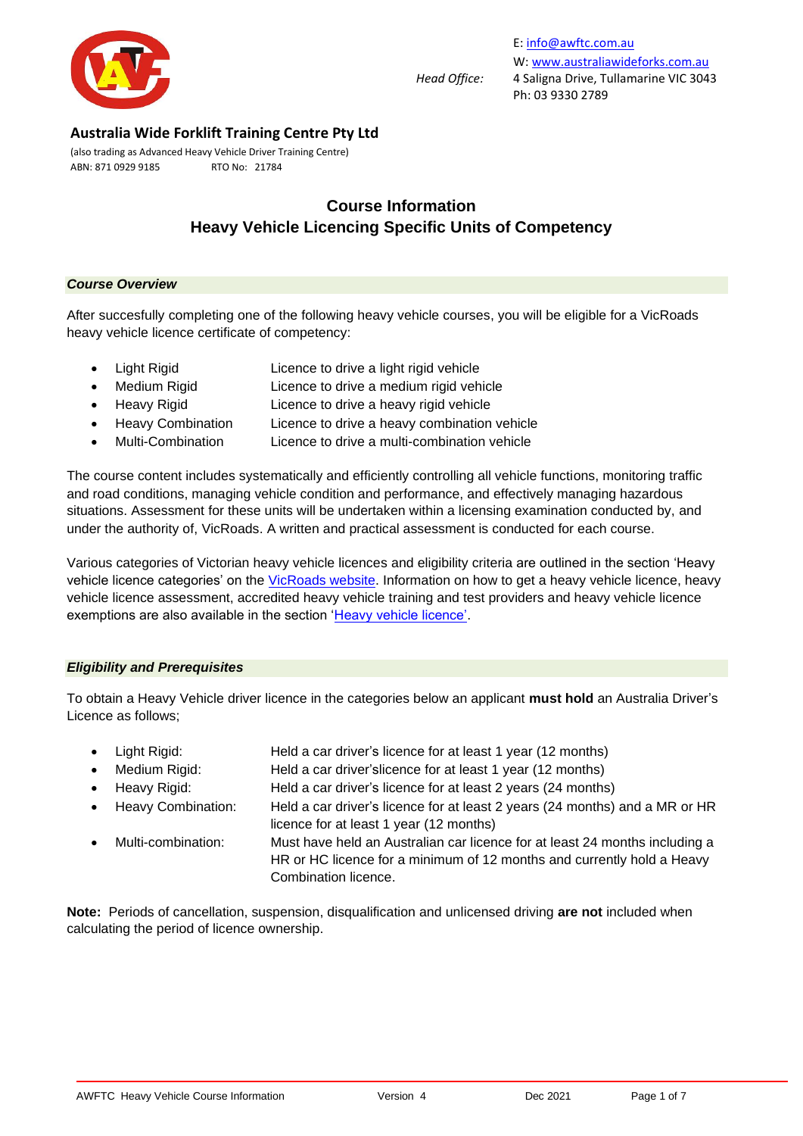

(also trading as Advanced Heavy Vehicle Driver Training Centre) ABN: 871 0929 9185 RTO No: 21784

# **Course Information Heavy Vehicle Licencing Specific Units of Competency**

#### *Course Overview*

After succesfully completing one of the following heavy vehicle courses, you will be eligible for a VicRoads heavy vehicle licence certificate of competency:

- Light Rigid Licence to drive a light rigid vehicle
- Medium Rigid Licence to drive a medium rigid vehicle
- Heavy Rigid Licence to drive a heavy rigid vehicle
- Heavy Combination Licence to drive a heavy combination vehicle
- Multi-Combination Licence to drive a multi-combination vehicle

The course content includes systematically and efficiently controlling all vehicle functions, monitoring traffic and road conditions, managing vehicle condition and performance, and effectively managing hazardous situations. Assessment for these units will be undertaken within a licensing examination conducted by, and under the authority of, VicRoads. A written and practical assessment is conducted for each course.

Various categories of Victorian heavy vehicle licences and eligibility criteria are outlined in the section 'Heavy vehicle licence categories' on the [VicRoads website.](https://www.vicroads.vic.gov.au/licences/licence-and-permit-types/licence-categories) Information on how to get a heavy vehicle licence, heavy vehicle licence assessment, accredited heavy vehicle training and test providers and heavy vehicle licence exemptions are also available in the section ['Heavy vehicle licence'.](https://www.vicroads.vic.gov.au/licences/licence-and-permit-types/heavy-vehicle-licence)

### *Eligibility and Prerequisites*

To obtain a Heavy Vehicle driver licence in the categories below an applicant **must hold** an Australia Driver's Licence as follows;

- Light Rigid: Held a car driver's licence for at least 1 year (12 months)
- Medium Rigid: Held a car driver'slicence for at least 1 year (12 months)
	- Heavy Rigid: Held a car driver's licence for at least 2 years (24 months)
- Heavy Combination: Held a car driver's licence for at least 2 years (24 months) and a MR or HR licence for at least 1 year (12 months)
	- Multi-combination: Must have held an Australian car licence for at least 24 months including a HR or HC licence for a minimum of 12 months and currently hold a Heavy Combination licence.

**Note:** Periods of cancellation, suspension, disqualification and unlicensed driving **are not** included when calculating the period of licence ownership.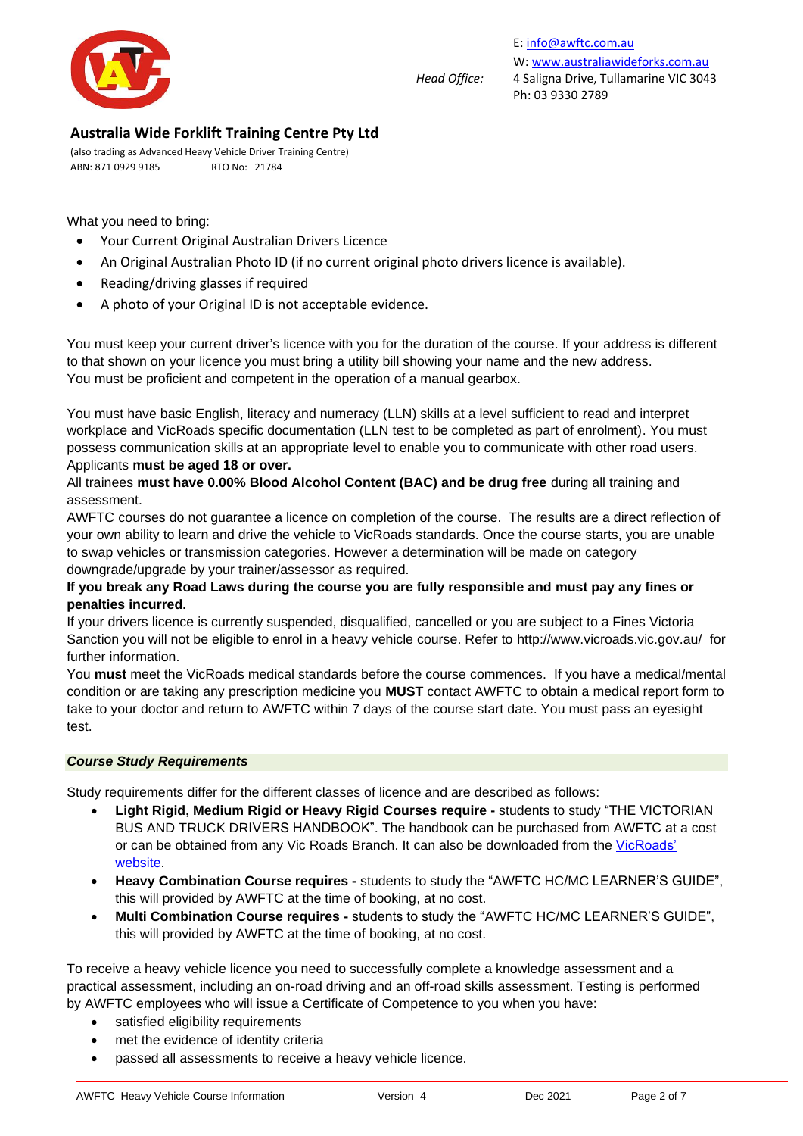

E[: info@awftc.com.au](mailto:info@awftc.com.au) W[: www.australiawideforks.com.au](http://www.australiawideforks.com.au/) *Head Office:* 4 Saligna Drive, Tullamarine VIC 3043 Ph: 03 9330 2789

## **Australia Wide Forklift Training Centre Pty Ltd**

(also trading as Advanced Heavy Vehicle Driver Training Centre) ABN: 871 0929 9185 RTO No: 21784

What you need to bring:

- Your Current Original Australian Drivers Licence
- An Original Australian Photo ID (if no current original photo drivers licence is available).
- Reading/driving glasses if required
- A photo of your Original ID is not acceptable evidence.

You must keep your current driver's licence with you for the duration of the course. If your address is different to that shown on your licence you must bring a utility bill showing your name and the new address. You must be proficient and competent in the operation of a manual gearbox.

You must have basic English, literacy and numeracy (LLN) skills at a level sufficient to read and interpret workplace and VicRoads specific documentation (LLN test to be completed as part of enrolment). You must possess communication skills at an appropriate level to enable you to communicate with other road users. Applicants **must be aged 18 or over.**

All trainees **must have 0.00% Blood Alcohol Content (BAC) and be drug free** during all training and assessment.

AWFTC courses do not guarantee a licence on completion of the course. The results are a direct reflection of your own ability to learn and drive the vehicle to VicRoads standards. Once the course starts, you are unable to swap vehicles or transmission categories. However a determination will be made on category downgrade/upgrade by your trainer/assessor as required.

### **If you break any Road Laws during the course you are fully responsible and must pay any fines or penalties incurred.**

If your drivers licence is currently suspended, disqualified, cancelled or you are subject to a Fines Victoria Sanction you will not be eligible to enrol in a heavy vehicle course. Refer to<http://www.vicroads.vic.gov.au/>for further information.

You **must** meet the VicRoads medical standards before the course commences. If you have a medical/mental condition or are taking any prescription medicine you **MUST** contact AWFTC to obtain a medical report form to take to your doctor and return to AWFTC within 7 days of the course start date. You must pass an eyesight test.

### *Course Study Requirements*

Study requirements differ for the different classes of licence and are described as follows:

- **Light Rigid, Medium Rigid or Heavy Rigid Courses require -** students to study "THE VICTORIAN BUS AND TRUCK DRIVERS HANDBOOK". The handbook can be purchased from AWFTC at a cost or can be obtained from any Vic Roads Branch. It can also be downloaded from the [VicRoads'](https://www.vicroads.vic.gov.au/business-and-industry/heavy-vehicle-industry/heavy-vehicle-road-safety/bus-and-truck-driver-handbook)  [website.](https://www.vicroads.vic.gov.au/business-and-industry/heavy-vehicle-industry/heavy-vehicle-road-safety/bus-and-truck-driver-handbook)
- **Heavy Combination Course requires -** students to study the "AWFTC HC/MC LEARNER'S GUIDE", this will provided by AWFTC at the time of booking, at no cost.
- **Multi Combination Course requires -** students to study the "AWFTC HC/MC LEARNER'S GUIDE", this will provided by AWFTC at the time of booking, at no cost.

To receive a heavy vehicle licence you need to successfully complete a knowledge assessment and a practical assessment, including an on-road driving and an off-road skills assessment. Testing is performed by AWFTC employees who will issue a Certificate of Competence to you when you have:

- satisfied eligibility requirements
- met the [evidence of identity](https://www.vicroads.vic.gov.au/licences/evidence-of-identity/types-of-identity-documents) criteria
- passed all assessments to receive a heavy vehicle licence.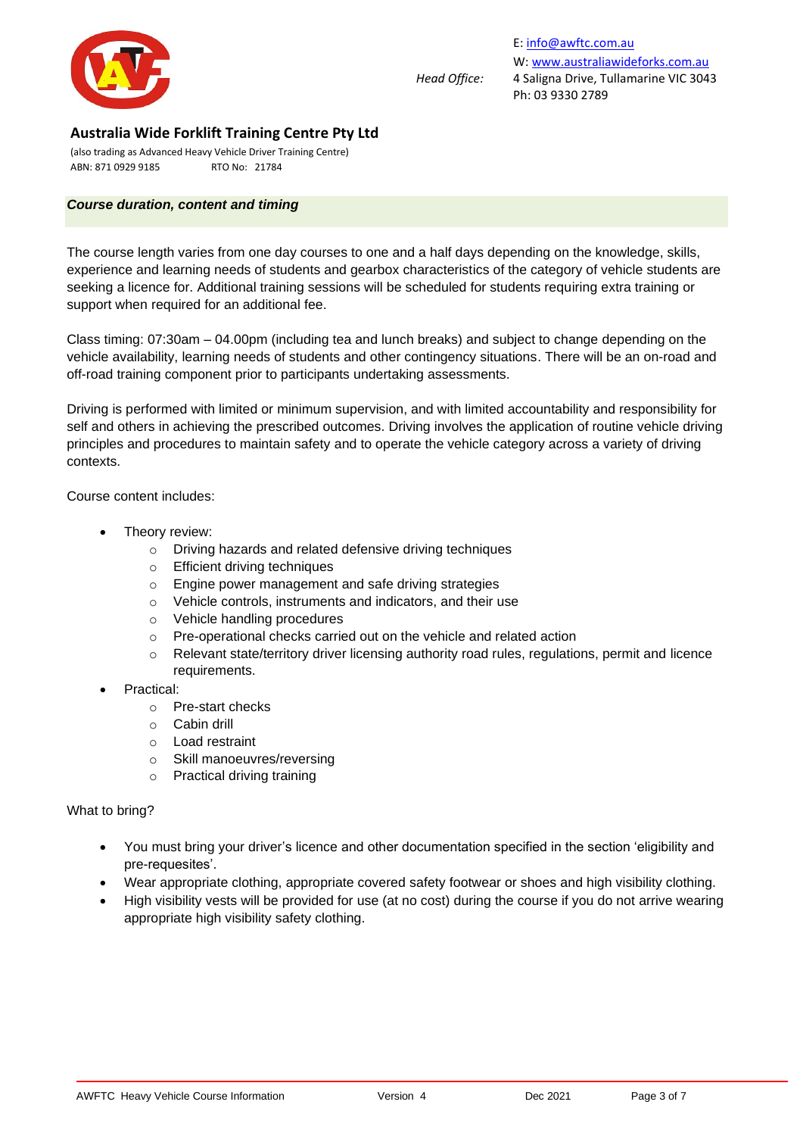

(also trading as Advanced Heavy Vehicle Driver Training Centre) ABN: 871 0929 9185 RTO No: 21784

### *Course duration, content and timing*

The course length varies from one day courses to one and a half days depending on the knowledge, skills, experience and learning needs of students and gearbox characteristics of the category of vehicle students are seeking a licence for. Additional training sessions will be scheduled for students requiring extra training or support when required for an additional fee.

Class timing: 07:30am – 04.00pm (including tea and lunch breaks) and subject to change depending on the vehicle availability, learning needs of students and other contingency situations. There will be an on-road and off-road training component prior to participants undertaking assessments.

Driving is performed with limited or minimum supervision, and with limited accountability and responsibility for self and others in achieving the prescribed outcomes. Driving involves the application of routine vehicle driving principles and procedures to maintain safety and to operate the vehicle category across a variety of driving contexts.

Course content includes:

- Theory review:
	- o Driving hazards and related defensive driving techniques
	- o Efficient driving techniques
	- o Engine power management and safe driving strategies
	- o Vehicle controls, instruments and indicators, and their use
	- o Vehicle handling procedures
	- o Pre-operational checks carried out on the vehicle and related action
	- o Relevant state/territory driver licensing authority road rules, regulations, permit and licence requirements.
- Practical:
	- o Pre-start checks
	- o Cabin drill
	- o Load restraint
	- o Skill manoeuvres/reversing
	- o Practical driving training

#### What to bring?

- You must bring your driver's licence and other documentation specified in the section 'eligibility and pre-requesites'.
- Wear appropriate clothing, appropriate covered safety footwear or shoes and high visibility clothing.
- High visibility vests will be provided for use (at no cost) during the course if you do not arrive wearing appropriate high visibility safety clothing.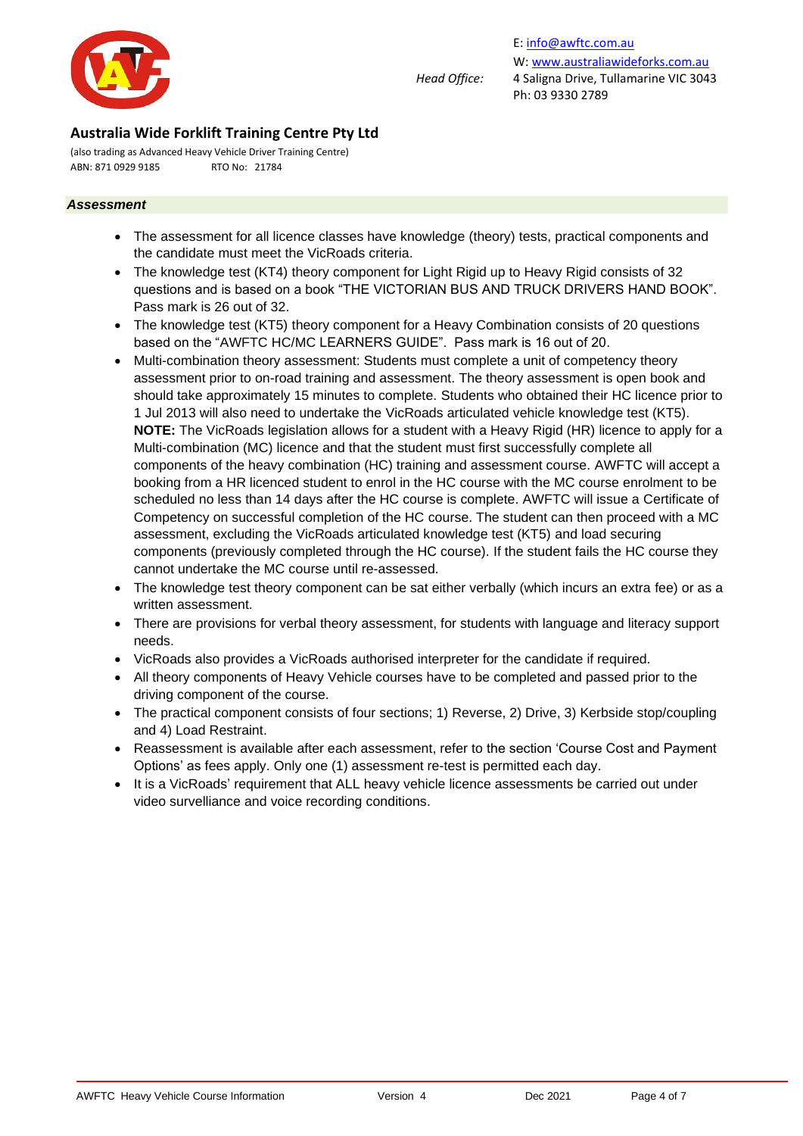

(also trading as Advanced Heavy Vehicle Driver Training Centre) ABN: 871 0929 9185 RTO No: 21784

#### *Assessment*

- The assessment for all licence classes have knowledge (theory) tests, practical components and the candidate must meet the VicRoads criteria.
- The knowledge test (KT4) theory component for Light Rigid up to Heavy Rigid consists of 32 questions and is based on a book "THE VICTORIAN BUS AND TRUCK DRIVERS HAND BOOK". Pass mark is 26 out of 32.
- The knowledge test (KT5) theory component for a Heavy Combination consists of 20 questions based on the "AWFTC HC/MC LEARNERS GUIDE". Pass mark is 16 out of 20.
- Multi-combination theory assessment: Students must complete a unit of competency theory assessment prior to on-road training and assessment. The theory assessment is open book and should take approximately 15 minutes to complete. Students who obtained their HC licence prior to 1 Jul 2013 will also need to undertake the VicRoads articulated vehicle knowledge test (KT5). **NOTE:** The VicRoads legislation allows for a student with a Heavy Rigid (HR) licence to apply for a Multi-combination (MC) licence and that the student must first successfully complete all components of the heavy combination (HC) training and assessment course. AWFTC will accept a booking from a HR licenced student to enrol in the HC course with the MC course enrolment to be scheduled no less than 14 days after the HC course is complete. AWFTC will issue a Certificate of Competency on successful completion of the HC course. The student can then proceed with a MC assessment, excluding the VicRoads articulated knowledge test (KT5) and load securing components (previously completed through the HC course). If the student fails the HC course they cannot undertake the MC course until re-assessed.
- The knowledge test theory component can be sat either verbally (which incurs an extra fee) or as a written assessment.
- There are provisions for verbal theory assessment, for students with language and literacy support needs.
- VicRoads also provides a VicRoads authorised interpreter for the candidate if required.
- All theory components of Heavy Vehicle courses have to be completed and passed prior to the driving component of the course.
- The practical component consists of four sections; 1) Reverse, 2) Drive, 3) Kerbside stop/coupling and 4) Load Restraint.
- Reassessment is available after each assessment, refer to the section 'Course Cost and Payment Options' as fees apply. Only one (1) assessment re-test is permitted each day.
- It is a VicRoads' requirement that ALL heavy vehicle licence assessments be carried out under video survelliance and voice recording conditions.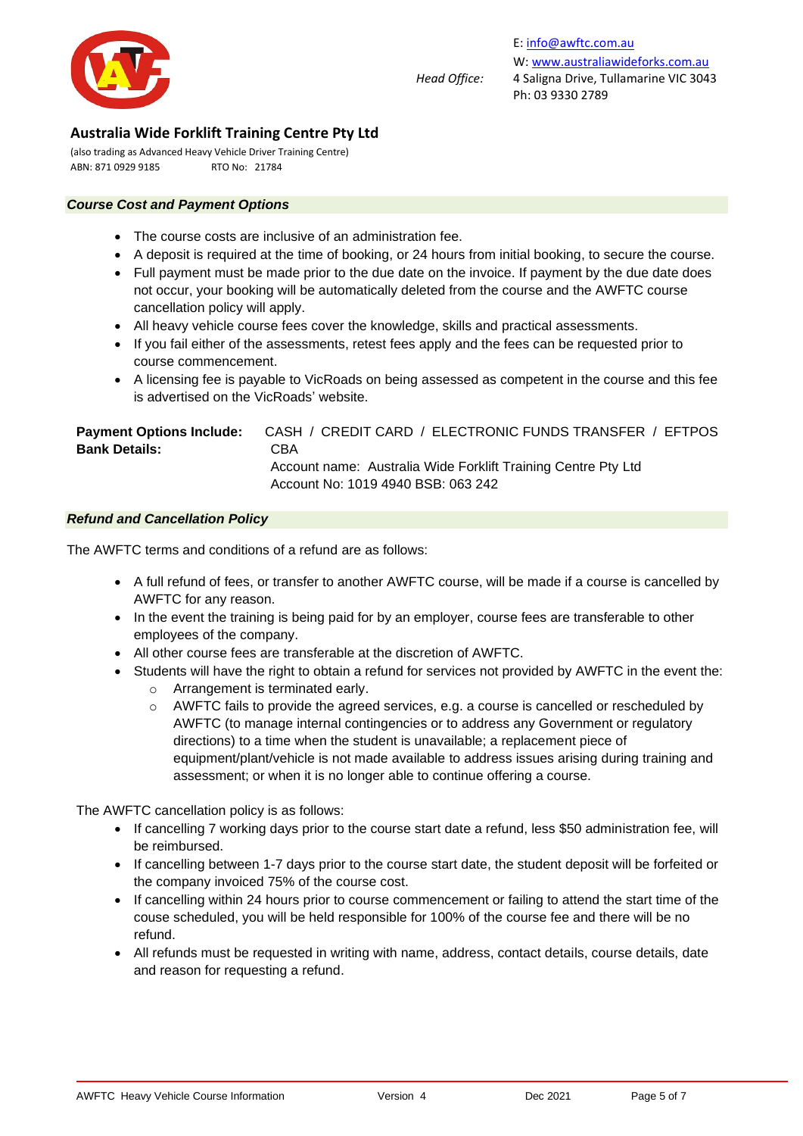

(also trading as Advanced Heavy Vehicle Driver Training Centre) ABN: 871 0929 9185 RTO No: 21784

#### *Course Cost and Payment Options*

- The course costs are inclusive of an administration fee.
- A deposit is required at the time of booking, or 24 hours from initial booking, to secure the course.
- Full payment must be made prior to the due date on the invoice. If payment by the due date does not occur, your booking will be automatically deleted from the course and the AWFTC course cancellation policy will apply.
- All heavy vehicle course fees cover the knowledge, skills and practical assessments.
- If you fail either of the assessments, retest fees apply and the fees can be requested prior to course commencement.
- A licensing fee is payable to VicRoads on being assessed as competent in the course and this fee is advertised on the VicRoads' website.

| <b>Payment Options Include:</b> | CASH / CREDIT CARD / ELECTRONIC FUNDS TRANSFER / EFTPOS       |
|---------------------------------|---------------------------------------------------------------|
| <b>Bank Details:</b>            | CBA                                                           |
|                                 | Account name: Australia Wide Forklift Training Centre Pty Ltd |
|                                 | Account No: 1019 4940 BSB: 063 242                            |

#### *Refund and Cancellation Policy*

The AWFTC terms and conditions of a refund are as follows:

- A full refund of fees, or transfer to another AWFTC course, will be made if a course is cancelled by AWFTC for any reason.
- In the event the training is being paid for by an employer, course fees are transferable to other employees of the company.
- All other course fees are transferable at the discretion of AWFTC.
- Students will have the right to obtain a refund for services not provided by AWFTC in the event the:
	- o Arrangement is terminated early.
	- o AWFTC fails to provide the agreed services, e.g. a course is cancelled or rescheduled by AWFTC (to manage internal contingencies or to address any Government or regulatory directions) to a time when the student is unavailable; a replacement piece of equipment/plant/vehicle is not made available to address issues arising during training and assessment; or when it is no longer able to continue offering a course.

The AWFTC cancellation policy is as follows:

- If cancelling 7 working days prior to the course start date a refund, less \$50 administration fee, will be reimbursed.
- If cancelling between 1-7 days prior to the course start date, the student deposit will be forfeited or the company invoiced 75% of the course cost.
- If cancelling within 24 hours prior to course commencement or failing to attend the start time of the couse scheduled, you will be held responsible for 100% of the course fee and there will be no refund.
- All refunds must be requested in writing with name, address, contact details, course details, date and reason for requesting a refund.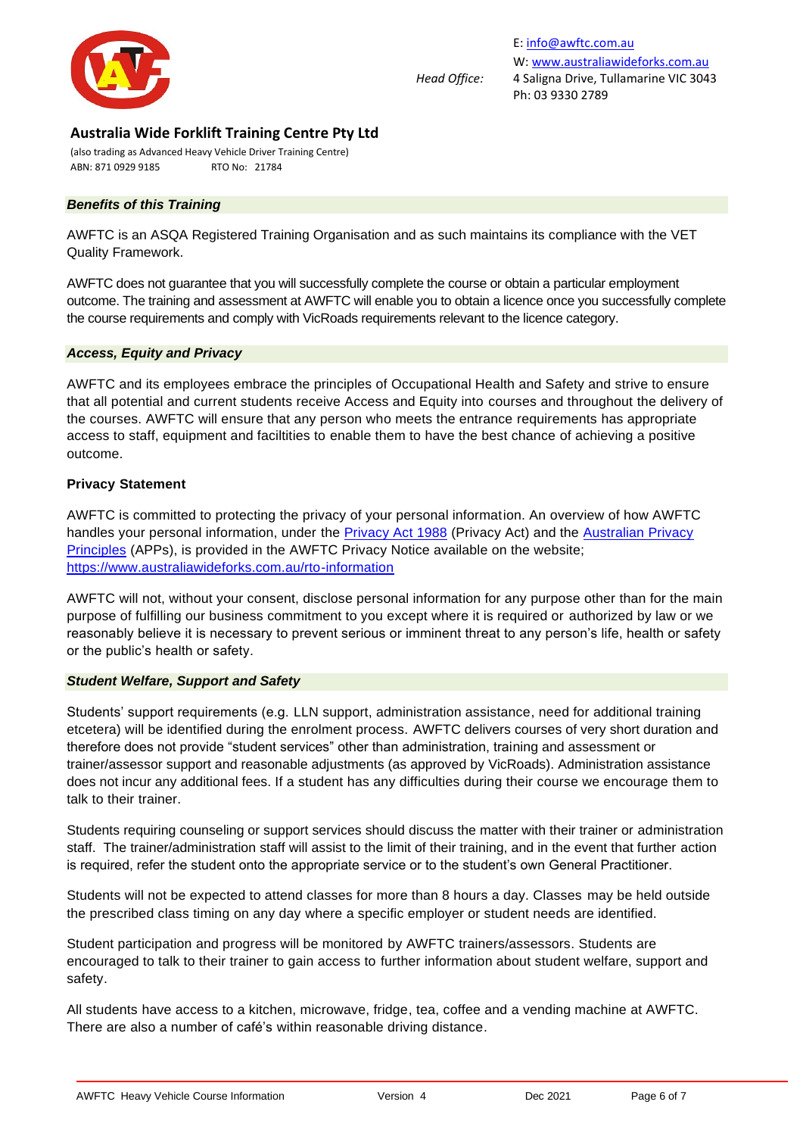

(also trading as Advanced Heavy Vehicle Driver Training Centre) ABN: 871 0929 9185 RTO No: 21784

### *Benefits of this Training*

AWFTC is an ASQA Registered Training Organisation and as such maintains its compliance with the VET Quality Framework.

AWFTC does not guarantee that you will successfully complete the course or obtain a particular employment outcome. The training and assessment at AWFTC will enable you to obtain a licence once you successfully complete the course requirements and comply with VicRoads requirements relevant to the licence category.

#### *Access, Equity and Privacy*

AWFTC and its employees embrace the principles of Occupational Health and Safety and strive to ensure that all potential and current students receive Access and Equity into courses and throughout the delivery of the courses. AWFTC will ensure that any person who meets the entrance requirements has appropriate access to staff, equipment and faciltities to enable them to have the best chance of achieving a positive outcome.

#### **Privacy Statement**

AWFTC is committed to protecting the privacy of your personal information. An overview of how AWFTC handles your personal information, under the [Privacy Act 1988](https://www.legislation.gov.au/Details/C2019C00025) (Privacy Act) and the Australian Privacy [Principles](https://www.oaic.gov.au/privacy-law/privacy-act/australian-privacy-principles) (APPs), is provided in the AWFTC Privacy Notice available on the website; <https://www.australiawideforks.com.au/rto-information>

AWFTC will not, without your consent, disclose personal information for any purpose other than for the main purpose of fulfilling our business commitment to you except where it is required or authorized by law or we reasonably believe it is necessary to prevent serious or imminent threat to any person's life, health or safety or the public's health or safety.

#### *Student Welfare, Support and Safety*

Students' support requirements (e.g. LLN support, administration assistance, need for additional training etcetera) will be identified during the enrolment process. AWFTC delivers courses of very short duration and therefore does not provide "student services" other than administration, training and assessment or trainer/assessor support and reasonable adjustments (as approved by VicRoads). Administration assistance does not incur any additional fees. If a student has any difficulties during their course we encourage them to talk to their trainer.

Students requiring counseling or support services should discuss the matter with their trainer or administration staff. The trainer/administration staff will assist to the limit of their training, and in the event that further action is required, refer the student onto the appropriate service or to the student's own General Practitioner.

Students will not be expected to attend classes for more than 8 hours a day. Classes may be held outside the prescribed class timing on any day where a specific employer or student needs are identified.

Student participation and progress will be monitored by AWFTC trainers/assessors. Students are encouraged to talk to their trainer to gain access to further information about student welfare, support and safety.

All students have access to a kitchen, microwave, fridge, tea, coffee and a vending machine at AWFTC. There are also a number of café's within reasonable driving distance.